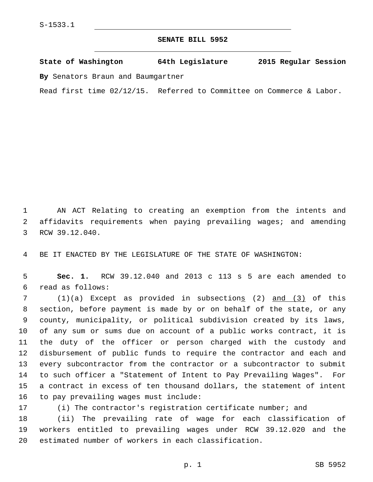## **SENATE BILL 5952**

**State of Washington 64th Legislature 2015 Regular Session By** Senators Braun and Baumgartner

Read first time 02/12/15. Referred to Committee on Commerce & Labor.

1 AN ACT Relating to creating an exemption from the intents and 2 affidavits requirements when paying prevailing wages; and amending 3 RCW 39.12.040.

4 BE IT ENACTED BY THE LEGISLATURE OF THE STATE OF WASHINGTON:

5 **Sec. 1.** RCW 39.12.040 and 2013 c 113 s 5 are each amended to read as follows:6

7 (1)(a) Except as provided in subsections (2) and (3) of this section, before payment is made by or on behalf of the state, or any county, municipality, or political subdivision created by its laws, of any sum or sums due on account of a public works contract, it is the duty of the officer or person charged with the custody and disbursement of public funds to require the contractor and each and every subcontractor from the contractor or a subcontractor to submit to such officer a "Statement of Intent to Pay Prevailing Wages". For a contract in excess of ten thousand dollars, the statement of intent 16 to pay prevailing wages must include:

17 (i) The contractor's registration certificate number; and

18 (ii) The prevailing rate of wage for each classification of 19 workers entitled to prevailing wages under RCW 39.12.020 and the 20 estimated number of workers in each classification.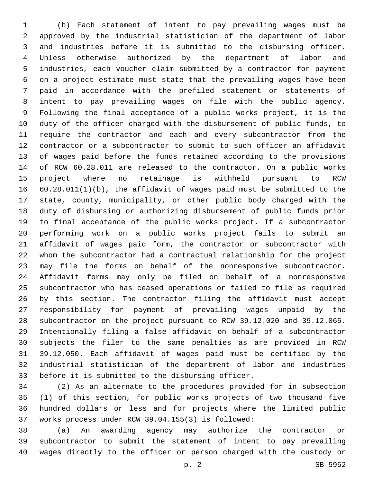(b) Each statement of intent to pay prevailing wages must be approved by the industrial statistician of the department of labor and industries before it is submitted to the disbursing officer. Unless otherwise authorized by the department of labor and industries, each voucher claim submitted by a contractor for payment on a project estimate must state that the prevailing wages have been paid in accordance with the prefiled statement or statements of intent to pay prevailing wages on file with the public agency. Following the final acceptance of a public works project, it is the duty of the officer charged with the disbursement of public funds, to require the contractor and each and every subcontractor from the contractor or a subcontractor to submit to such officer an affidavit of wages paid before the funds retained according to the provisions of RCW 60.28.011 are released to the contractor. On a public works project where no retainage is withheld pursuant to RCW 60.28.011(1)(b), the affidavit of wages paid must be submitted to the state, county, municipality, or other public body charged with the duty of disbursing or authorizing disbursement of public funds prior to final acceptance of the public works project. If a subcontractor performing work on a public works project fails to submit an affidavit of wages paid form, the contractor or subcontractor with whom the subcontractor had a contractual relationship for the project may file the forms on behalf of the nonresponsive subcontractor. Affidavit forms may only be filed on behalf of a nonresponsive subcontractor who has ceased operations or failed to file as required by this section. The contractor filing the affidavit must accept responsibility for payment of prevailing wages unpaid by the subcontractor on the project pursuant to RCW 39.12.020 and 39.12.065. Intentionally filing a false affidavit on behalf of a subcontractor subjects the filer to the same penalties as are provided in RCW 39.12.050. Each affidavit of wages paid must be certified by the industrial statistician of the department of labor and industries 33 before it is submitted to the disbursing officer.

 (2) As an alternate to the procedures provided for in subsection (1) of this section, for public works projects of two thousand five hundred dollars or less and for projects where the limited public 37 works process under RCW 39.04.155(3) is followed:

 (a) An awarding agency may authorize the contractor or subcontractor to submit the statement of intent to pay prevailing wages directly to the officer or person charged with the custody or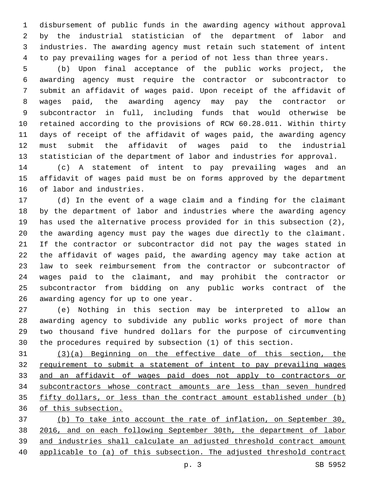disbursement of public funds in the awarding agency without approval by the industrial statistician of the department of labor and industries. The awarding agency must retain such statement of intent to pay prevailing wages for a period of not less than three years.

 (b) Upon final acceptance of the public works project, the awarding agency must require the contractor or subcontractor to submit an affidavit of wages paid. Upon receipt of the affidavit of wages paid, the awarding agency may pay the contractor or subcontractor in full, including funds that would otherwise be retained according to the provisions of RCW 60.28.011. Within thirty days of receipt of the affidavit of wages paid, the awarding agency must submit the affidavit of wages paid to the industrial statistician of the department of labor and industries for approval.

 (c) A statement of intent to pay prevailing wages and an affidavit of wages paid must be on forms approved by the department 16 of labor and industries.

 (d) In the event of a wage claim and a finding for the claimant by the department of labor and industries where the awarding agency has used the alternative process provided for in this subsection (2), the awarding agency must pay the wages due directly to the claimant. If the contractor or subcontractor did not pay the wages stated in the affidavit of wages paid, the awarding agency may take action at law to seek reimbursement from the contractor or subcontractor of wages paid to the claimant, and may prohibit the contractor or subcontractor from bidding on any public works contract of the 26 awarding agency for up to one year.

 (e) Nothing in this section may be interpreted to allow an awarding agency to subdivide any public works project of more than two thousand five hundred dollars for the purpose of circumventing the procedures required by subsection (1) of this section.

 (3)(a) Beginning on the effective date of this section, the requirement to submit a statement of intent to pay prevailing wages and an affidavit of wages paid does not apply to contractors or subcontractors whose contract amounts are less than seven hundred fifty dollars, or less than the contract amount established under (b) of this subsection.

 (b) To take into account the rate of inflation, on September 30, 2016, and on each following September 30th, the department of labor and industries shall calculate an adjusted threshold contract amount applicable to (a) of this subsection. The adjusted threshold contract